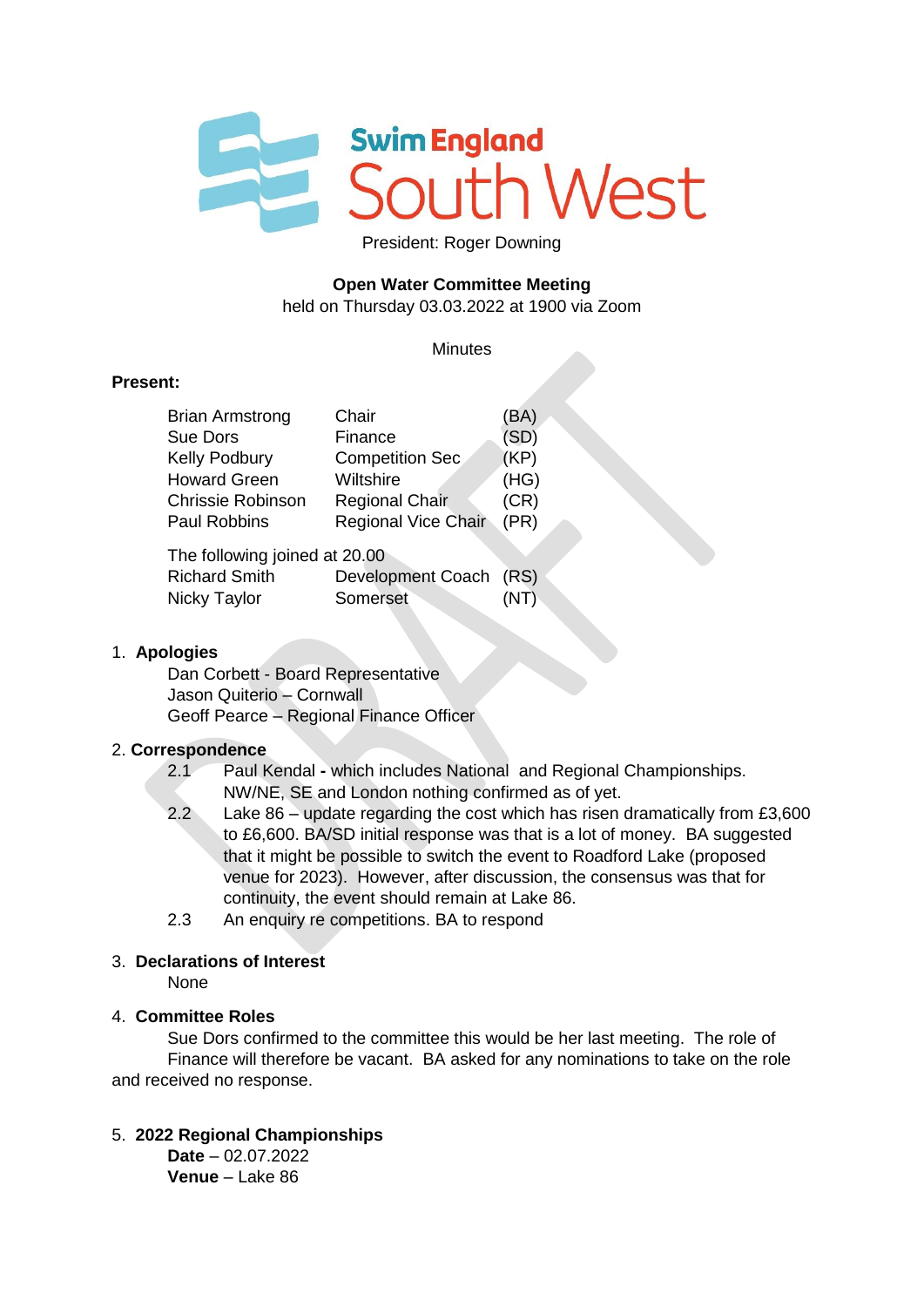

President: Roger Downing

# **Open Water Committee Meeting**

held on Thursday 03.03.2022 at 1900 via Zoom

#### **Minutes**

#### **Present:**

| <b>Brian Armstrong</b>        | Chair                      | (BA) |
|-------------------------------|----------------------------|------|
| <b>Sue Dors</b>               | Finance                    | (SD) |
| Kelly Podbury                 | <b>Competition Sec</b>     | (KP) |
| <b>Howard Green</b>           | Wiltshire                  | (HG) |
| <b>Chrissie Robinson</b>      | <b>Regional Chair</b>      | (CR) |
| <b>Paul Robbins</b>           | <b>Regional Vice Chair</b> | (PR) |
| The following joined at 20.00 |                            |      |
| <b>Richard Smith</b>          | Development Coach (RS)     |      |
| Nicky Taylor                  | Somerset                   |      |

#### 1. **Apologies**

 Dan Corbett - Board Representative Jason Quiterio – Cornwall Geoff Pearce – Regional Finance Officer

#### 2. **Correspondence**

- 2.1 Paul Kendal **-** which includes National and Regional Championships. NW/NE, SE and London nothing confirmed as of yet.
- 2.2 Lake 86 update regarding the cost which has risen dramatically from £3,600 to £6,600. BA/SD initial response was that is a lot of money. BA suggested that it might be possible to switch the event to Roadford Lake (proposed venue for 2023). However, after discussion, the consensus was that for continuity, the event should remain at Lake 86.
- 2.3 An enquiry re competitions. BA to respond

#### 3. **Declarations of Interest**

None

#### 4. **Committee Roles**

Sue Dors confirmed to the committee this would be her last meeting. The role of Finance will therefore be vacant. BA asked for any nominations to take on the role and received no response.

#### 5. **2022 Regional Championships**

**Date** – 02.07.2022 **Venue** – Lake 86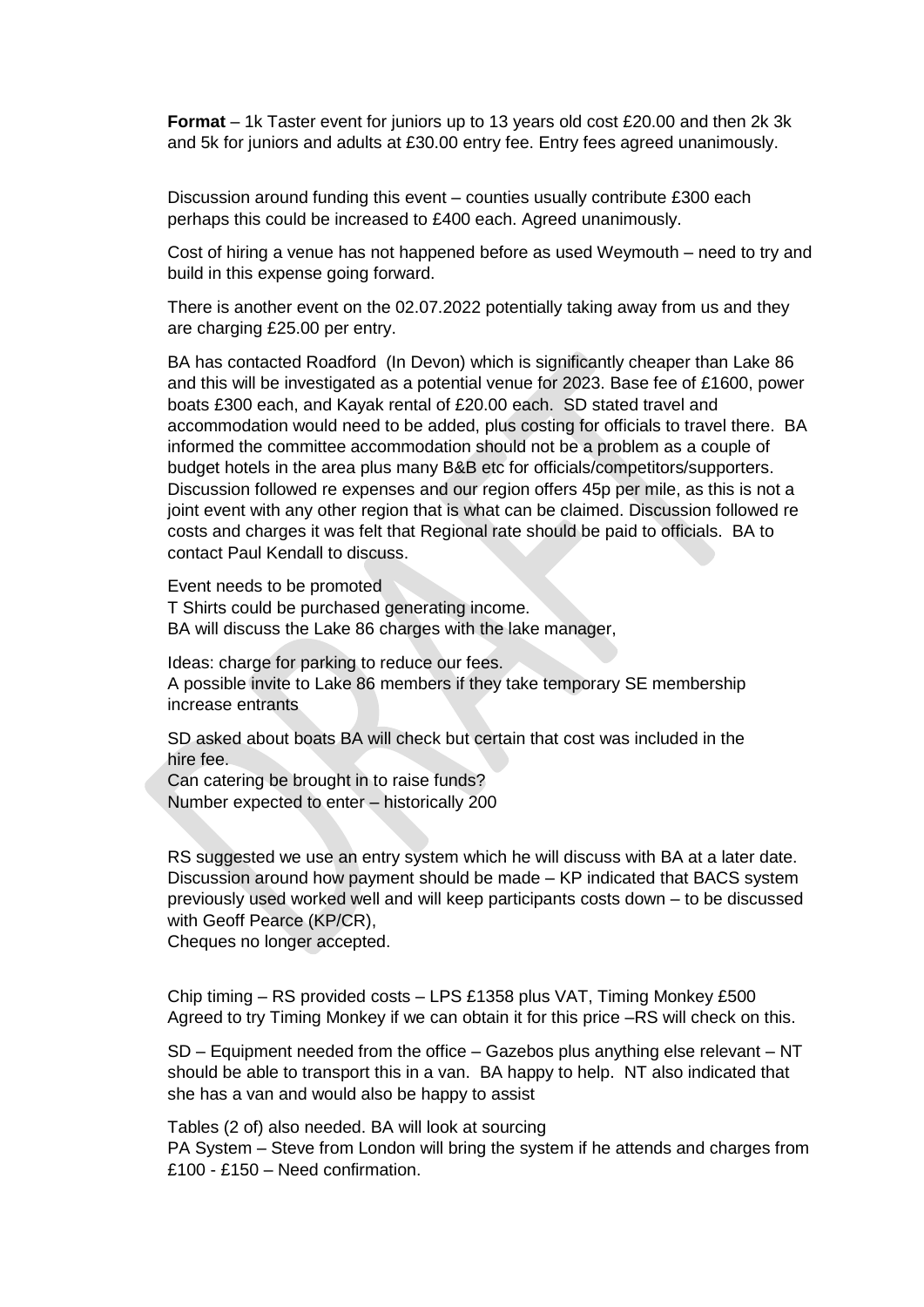**Format** – 1k Taster event for juniors up to 13 years old cost £20.00 and then 2k 3k and 5k for juniors and adults at £30.00 entry fee. Entry fees agreed unanimously.

Discussion around funding this event – counties usually contribute £300 each perhaps this could be increased to £400 each. Agreed unanimously.

Cost of hiring a venue has not happened before as used Weymouth – need to try and build in this expense going forward.

There is another event on the 02.07.2022 potentially taking away from us and they are charging £25.00 per entry.

BA has contacted Roadford (In Devon) which is significantly cheaper than Lake 86 and this will be investigated as a potential venue for 2023. Base fee of £1600, power boats £300 each, and Kayak rental of £20.00 each. SD stated travel and accommodation would need to be added, plus costing for officials to travel there. BA informed the committee accommodation should not be a problem as a couple of budget hotels in the area plus many B&B etc for officials/competitors/supporters. Discussion followed re expenses and our region offers 45p per mile, as this is not a joint event with any other region that is what can be claimed. Discussion followed re costs and charges it was felt that Regional rate should be paid to officials. BA to contact Paul Kendall to discuss.

Event needs to be promoted T Shirts could be purchased generating income. BA will discuss the Lake 86 charges with the lake manager,

Ideas: charge for parking to reduce our fees. A possible invite to Lake 86 members if they take temporary SE membership increase entrants

SD asked about boats BA will check but certain that cost was included in the hire fee.

Can catering be brought in to raise funds? Number expected to enter – historically 200

RS suggested we use an entry system which he will discuss with BA at a later date. Discussion around how payment should be made – KP indicated that BACS system previously used worked well and will keep participants costs down – to be discussed with Geoff Pearce (KP/CR),

Cheques no longer accepted.

Chip timing – RS provided costs – LPS £1358 plus VAT, Timing Monkey £500 Agreed to try Timing Monkey if we can obtain it for this price –RS will check on this.

SD – Equipment needed from the office – Gazebos plus anything else relevant – NT should be able to transport this in a van. BA happy to help. NT also indicated that she has a van and would also be happy to assist

Tables (2 of) also needed. BA will look at sourcing PA System – Steve from London will bring the system if he attends and charges from £100 - £150 – Need confirmation.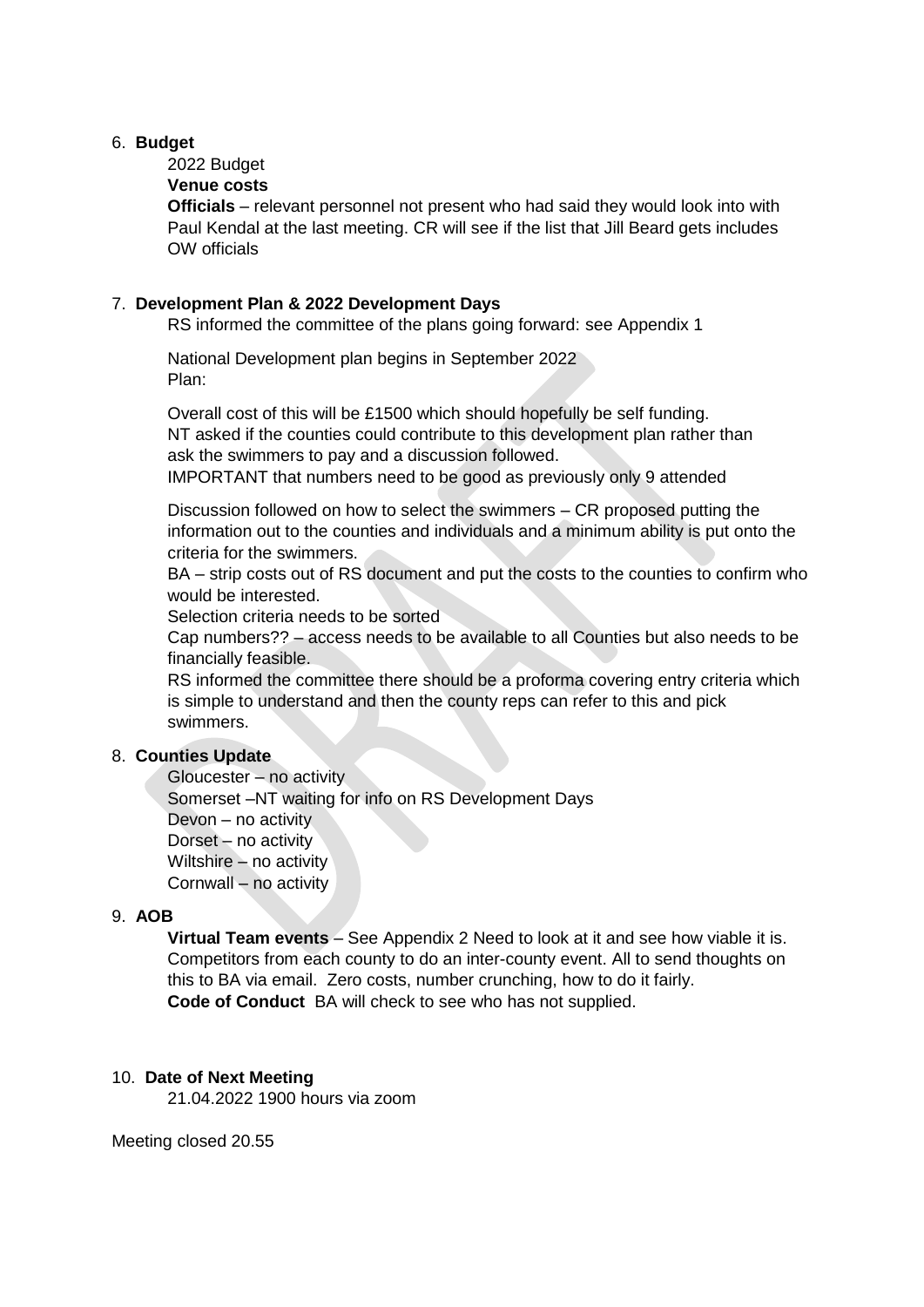#### 6. **Budget**

# 2022 Budget

## **Venue costs**

**Officials** – relevant personnel not present who had said they would look into with Paul Kendal at the last meeting. CR will see if the list that Jill Beard gets includes OW officials

#### 7. **Development Plan & 2022 Development Days**

RS informed the committee of the plans going forward: see Appendix 1

National Development plan begins in September 2022 Plan:

Overall cost of this will be £1500 which should hopefully be self funding. NT asked if the counties could contribute to this development plan rather than ask the swimmers to pay and a discussion followed.

IMPORTANT that numbers need to be good as previously only 9 attended

Discussion followed on how to select the swimmers – CR proposed putting the information out to the counties and individuals and a minimum ability is put onto the criteria for the swimmers.

BA – strip costs out of RS document and put the costs to the counties to confirm who would be interested.

Selection criteria needs to be sorted

Cap numbers?? – access needs to be available to all Counties but also needs to be financially feasible.

RS informed the committee there should be a proforma covering entry criteria which is simple to understand and then the county reps can refer to this and pick swimmers.

## 8. **Counties Update**

Gloucester – no activity Somerset –NT waiting for info on RS Development Days Devon – no activity Dorset – no activity Wiltshire – no activity Cornwall – no activity

# 9. **AOB**

 **Virtual Team events** – See Appendix 2 Need to look at it and see how viable it is. Competitors from each county to do an inter-county event. All to send thoughts on this to BA via email. Zero costs, number crunching, how to do it fairly. **Code of Conduct** BA will check to see who has not supplied.

#### 10. **Date of Next Meeting**

21.04.2022 1900 hours via zoom

Meeting closed 20.55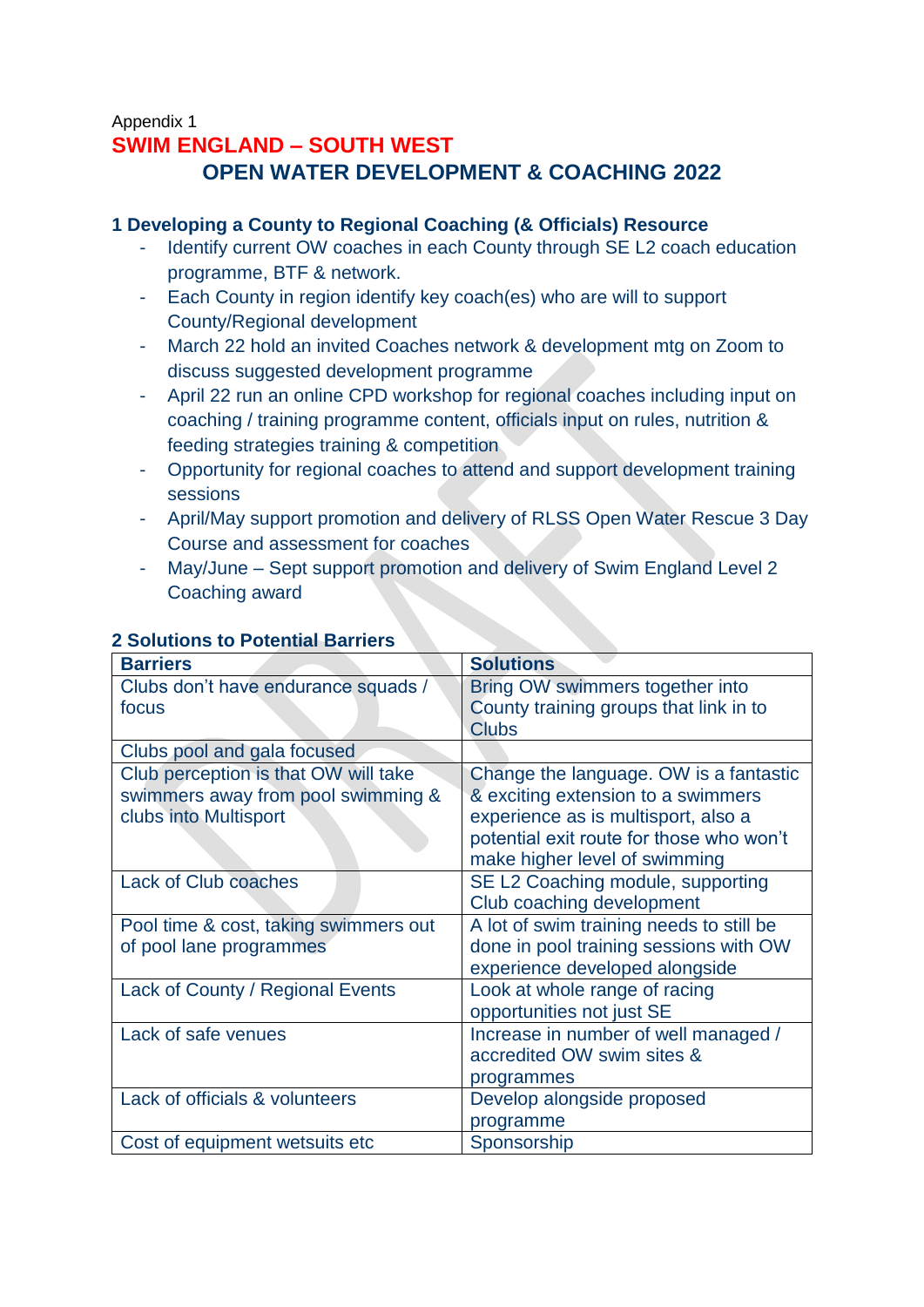# Appendix 1 **SWIM ENGLAND – SOUTH WEST OPEN WATER DEVELOPMENT & COACHING 2022**

# **1 Developing a County to Regional Coaching (& Officials) Resource**

- Identify current OW coaches in each County through SE L2 coach education programme, BTF & network.
- Each County in region identify key coach(es) who are will to support County/Regional development
- March 22 hold an invited Coaches network & development mtg on Zoom to discuss suggested development programme
- April 22 run an online CPD workshop for regional coaches including input on coaching / training programme content, officials input on rules, nutrition & feeding strategies training & competition
- Opportunity for regional coaches to attend and support development training sessions
- April/May support promotion and delivery of RLSS Open Water Rescue 3 Day Course and assessment for coaches
- May/June Sept support promotion and delivery of Swim England Level 2 Coaching award

| <b>Barriers</b>                       | <b>Solutions</b>                         |
|---------------------------------------|------------------------------------------|
| Clubs don't have endurance squads /   | Bring OW swimmers together into          |
| focus                                 | County training groups that link in to   |
|                                       | <b>Clubs</b>                             |
| Clubs pool and gala focused           |                                          |
| Club perception is that OW will take  | Change the language. OW is a fantastic   |
| swimmers away from pool swimming &    | & exciting extension to a swimmers       |
| clubs into Multisport                 | experience as is multisport, also a      |
|                                       | potential exit route for those who won't |
|                                       | make higher level of swimming            |
| Lack of Club coaches                  | SE L2 Coaching module, supporting        |
|                                       | Club coaching development                |
| Pool time & cost, taking swimmers out | A lot of swim training needs to still be |
| of pool lane programmes               | done in pool training sessions with OW   |
|                                       | experience developed alongside           |
| Lack of County / Regional Events      | Look at whole range of racing            |
|                                       | opportunities not just SE                |
| Lack of safe venues                   | Increase in number of well managed /     |
|                                       | accredited OW swim sites &               |
|                                       | programmes                               |
| Lack of officials & volunteers        | Develop alongside proposed               |
|                                       | programme                                |
| Cost of equipment wetsuits etc        | Sponsorship                              |

# **2 Solutions to Potential Barriers**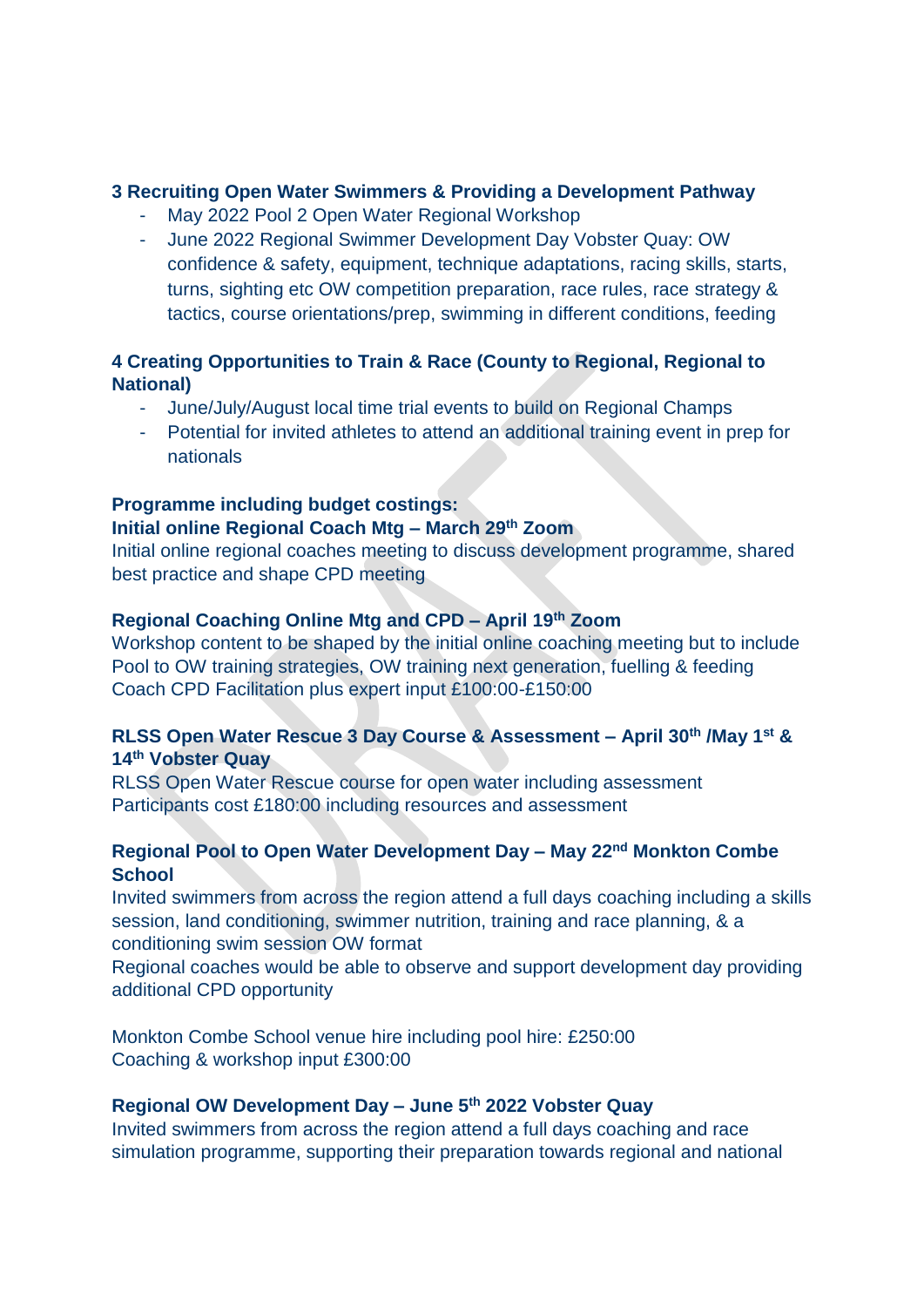## **3 Recruiting Open Water Swimmers & Providing a Development Pathway**

- May 2022 Pool 2 Open Water Regional Workshop
- June 2022 Regional Swimmer Development Day Vobster Quay: OW confidence & safety, equipment, technique adaptations, racing skills, starts, turns, sighting etc OW competition preparation, race rules, race strategy & tactics, course orientations/prep, swimming in different conditions, feeding

# **4 Creating Opportunities to Train & Race (County to Regional, Regional to National)**

- June/July/August local time trial events to build on Regional Champs
- Potential for invited athletes to attend an additional training event in prep for nationals

## **Programme including budget costings:**

# **Initial online Regional Coach Mtg – March 29th Zoom**

Initial online regional coaches meeting to discuss development programme, shared best practice and shape CPD meeting

# **Regional Coaching Online Mtg and CPD – April 19th Zoom**

Workshop content to be shaped by the initial online coaching meeting but to include Pool to OW training strategies, OW training next generation, fuelling & feeding Coach CPD Facilitation plus expert input £100:00-£150:00

# **RLSS Open Water Rescue 3 Day Course & Assessment – April 30th /May 1st & 14th Vobster Quay**

RLSS Open Water Rescue course for open water including assessment Participants cost £180:00 including resources and assessment

# **Regional Pool to Open Water Development Day – May 22nd Monkton Combe School**

Invited swimmers from across the region attend a full days coaching including a skills session, land conditioning, swimmer nutrition, training and race planning, & a conditioning swim session OW format

Regional coaches would be able to observe and support development day providing additional CPD opportunity

Monkton Combe School venue hire including pool hire: £250:00 Coaching & workshop input £300:00

# **Regional OW Development Day – June 5th 2022 Vobster Quay**

Invited swimmers from across the region attend a full days coaching and race simulation programme, supporting their preparation towards regional and national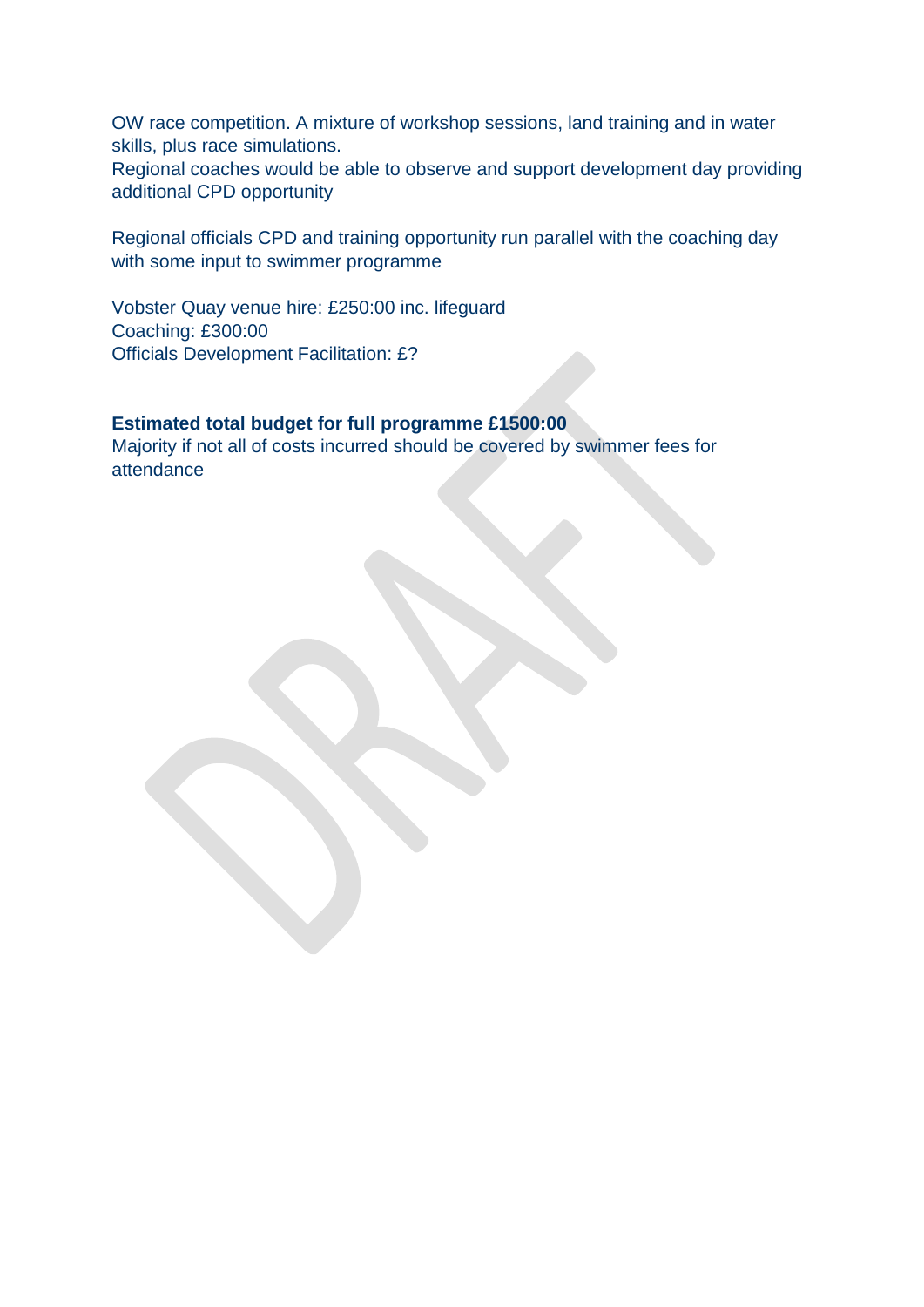OW race competition. A mixture of workshop sessions, land training and in water skills, plus race simulations.

Regional coaches would be able to observe and support development day providing additional CPD opportunity

Regional officials CPD and training opportunity run parallel with the coaching day with some input to swimmer programme

Vobster Quay venue hire: £250:00 inc. lifeguard Coaching: £300:00 Officials Development Facilitation: £?

# **Estimated total budget for full programme £1500:00**

Majority if not all of costs incurred should be covered by swimmer fees for attendance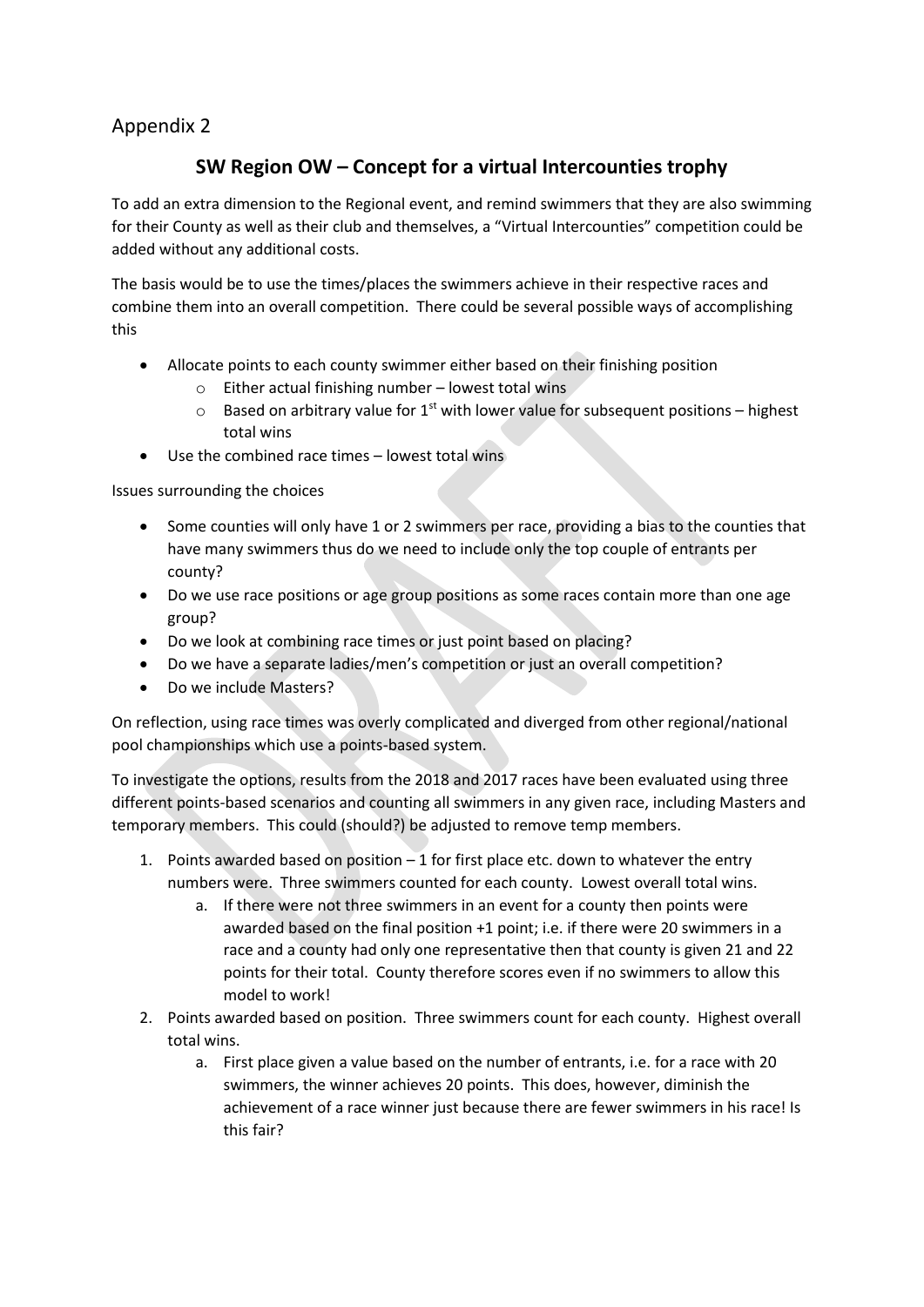# Appendix 2

# **SW Region OW – Concept for a virtual Intercounties trophy**

To add an extra dimension to the Regional event, and remind swimmers that they are also swimming for their County as well as their club and themselves, a "Virtual Intercounties" competition could be added without any additional costs.

The basis would be to use the times/places the swimmers achieve in their respective races and combine them into an overall competition. There could be several possible ways of accomplishing this

- Allocate points to each county swimmer either based on their finishing position
	- $\circ$  Either actual finishing number lowest total wins
	- $\circ$  Based on arbitrary value for 1<sup>st</sup> with lower value for subsequent positions highest total wins
- Use the combined race times lowest total wins

Issues surrounding the choices

- Some counties will only have 1 or 2 swimmers per race, providing a bias to the counties that have many swimmers thus do we need to include only the top couple of entrants per county?
- Do we use race positions or age group positions as some races contain more than one age group?
- Do we look at combining race times or just point based on placing?
- Do we have a separate ladies/men's competition or just an overall competition?
- Do we include Masters?

On reflection, using race times was overly complicated and diverged from other regional/national pool championships which use a points-based system.

To investigate the options, results from the 2018 and 2017 races have been evaluated using three different points-based scenarios and counting all swimmers in any given race, including Masters and temporary members. This could (should?) be adjusted to remove temp members.

- 1. Points awarded based on position  $-1$  for first place etc. down to whatever the entry numbers were. Three swimmers counted for each county. Lowest overall total wins.
	- a. If there were not three swimmers in an event for a county then points were awarded based on the final position +1 point; i.e. if there were 20 swimmers in a race and a county had only one representative then that county is given 21 and 22 points for their total. County therefore scores even if no swimmers to allow this model to work!
- 2. Points awarded based on position. Three swimmers count for each county. Highest overall total wins.
	- a. First place given a value based on the number of entrants, i.e. for a race with 20 swimmers, the winner achieves 20 points. This does, however, diminish the achievement of a race winner just because there are fewer swimmers in his race! Is this fair?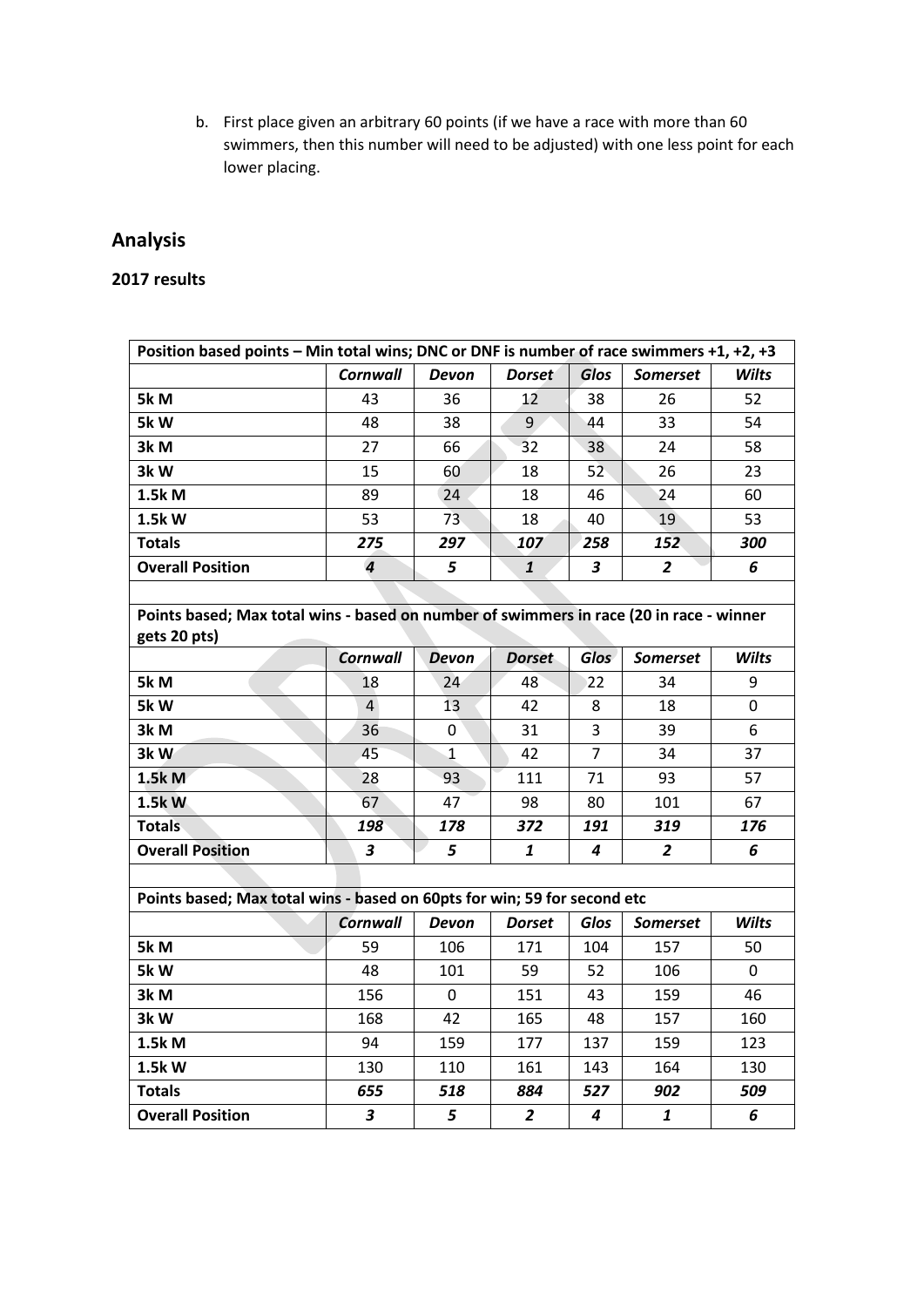b. First place given an arbitrary 60 points (if we have a race with more than 60 swimmers, then this number will need to be adjusted) with one less point for each lower placing.

# **Analysis**

# **2017 results**

| Position based points - Min total wins; DNC or DNF is number of race swimmers +1, +2, +3 |                         |              |                |                |                 |              |  |  |  |
|------------------------------------------------------------------------------------------|-------------------------|--------------|----------------|----------------|-----------------|--------------|--|--|--|
|                                                                                          | <b>Cornwall</b>         | Devon        | <b>Dorset</b>  | Glos           | <b>Somerset</b> | <b>Wilts</b> |  |  |  |
| 5k M                                                                                     | 43                      | 36           | 12             | 38             | 26              | 52           |  |  |  |
| 5kW                                                                                      | 48                      | 38           | 9              | 44             | 33              | 54           |  |  |  |
| 3k M                                                                                     | 27                      | 66           | 32             | 38             | 24              | 58           |  |  |  |
| 3kW                                                                                      | 15                      | 60           | 18             | 52             | 26              | 23           |  |  |  |
| 1.5k M                                                                                   | 89                      | 24           | 18             | 46             | 24              | 60           |  |  |  |
| 1.5kW                                                                                    | 53                      | 73           | 18             | 40             | 19              | 53           |  |  |  |
| <b>Totals</b>                                                                            | 275                     | 297          | 107            | 258            | 152             | 300          |  |  |  |
| <b>Overall Position</b>                                                                  | $\overline{\mathbf{r}}$ | 5            | $\mathbf{1}$   | 3              | 2               | 6            |  |  |  |
|                                                                                          |                         |              |                |                |                 |              |  |  |  |
| Points based; Max total wins - based on number of swimmers in race (20 in race - winner  |                         |              |                |                |                 |              |  |  |  |
| gets 20 pts)                                                                             | <b>Cornwall</b>         | <b>Devon</b> | <b>Dorset</b>  | <b>Glos</b>    | <b>Somerset</b> | <b>Wilts</b> |  |  |  |
|                                                                                          | 18                      |              | 48             |                | 34              | 9            |  |  |  |
| 5k M                                                                                     |                         | 24           |                | 22             |                 |              |  |  |  |
| 5kW                                                                                      | $\overline{4}$          | 13           | 42             | 8              | 18              | 0            |  |  |  |
| 3k M                                                                                     | 36                      | 0            | 31             | 3              | 39              | 6            |  |  |  |
| 3kW                                                                                      | 45                      | 1            | 42             | $\overline{7}$ | 34              | 37           |  |  |  |
| 1.5k M                                                                                   | 28                      | 93           | 111            | 71             | 93              | 57           |  |  |  |
| 1.5kW                                                                                    | 67                      | 47           | 98             | 80             | 101             | 67           |  |  |  |
| <b>Totals</b>                                                                            | 198                     | 178          | 372            | 191            | 319             | 176          |  |  |  |
| <b>Overall Position</b>                                                                  | $\overline{\mathbf{3}}$ | 5            | $\mathbf{1}$   | 4              | $\overline{2}$  | 6            |  |  |  |
|                                                                                          |                         |              |                |                |                 |              |  |  |  |
| Points based; Max total wins - based on 60pts for win; 59 for second etc                 |                         |              |                |                |                 |              |  |  |  |
|                                                                                          | <b>Cornwall</b>         | Devon        | <b>Dorset</b>  | Glos           | <b>Somerset</b> | <b>Wilts</b> |  |  |  |
| 5k M                                                                                     | 59                      | 106          | 171            | 104            | 157             | 50           |  |  |  |
| 5kW                                                                                      | 48                      | 101          | 59             | 52             | 106             | 0            |  |  |  |
| 3k M                                                                                     | 156                     | 0            | 151            | 43             | 159             | 46           |  |  |  |
| 3kW                                                                                      | 168                     | 42           | 165            | 48             | 157             | 160          |  |  |  |
| 1.5k M                                                                                   | 94                      | 159          | 177            | 137            | 159             | 123          |  |  |  |
| 1.5k W                                                                                   | 130                     | 110          | 161            | 143            | 164             | 130          |  |  |  |
| <b>Totals</b>                                                                            | 655                     | 518          | 884            | 527            | 902             | 509          |  |  |  |
| <b>Overall Position</b>                                                                  | 3                       | 5            | $\overline{2}$ | 4              | $\mathbf{1}$    | 6            |  |  |  |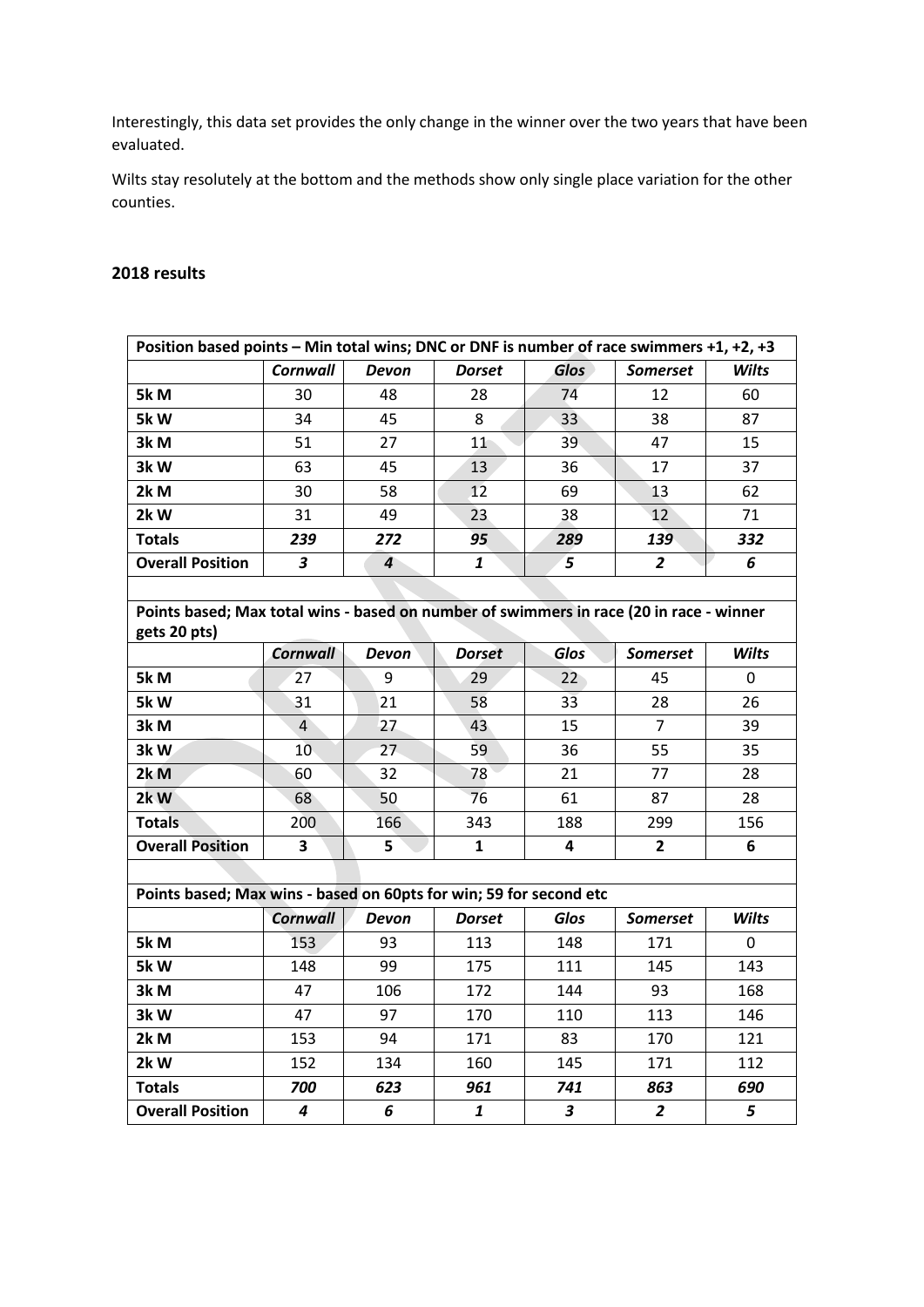Interestingly, this data set provides the only change in the winner over the two years that have been evaluated.

Wilts stay resolutely at the bottom and the methods show only single place variation for the other counties.

#### **2018 results**

| Position based points - Min total wins; DNC or DNF is number of race swimmers +1, +2, +3 |                         |                |               |                         |                 |              |  |
|------------------------------------------------------------------------------------------|-------------------------|----------------|---------------|-------------------------|-----------------|--------------|--|
|                                                                                          | <b>Cornwall</b>         | Devon          | <b>Dorset</b> | <b>Glos</b>             | Somerset        | <b>Wilts</b> |  |
| 5k M                                                                                     | 30                      | 48             | 28            | 74                      | 12              | 60           |  |
| 5kW                                                                                      | 34                      | 45             | 8             | 33                      | 38              | 87           |  |
| 3k M                                                                                     | 51                      | 27             | 11            | 39                      | 47              | 15           |  |
| 3kW                                                                                      | 63                      | 45             | 13            | 36                      | 17              | 37           |  |
| 2k M                                                                                     | 30                      | 58             | 12            | 69                      | 13              | 62           |  |
| 2kW                                                                                      | 31                      | 49             | 23            | 38                      | 12              | 71           |  |
| <b>Totals</b>                                                                            | 239                     | 272            | 95            | 289                     | 139             | 332          |  |
| <b>Overall Position</b>                                                                  | 3                       | $\overline{4}$ | $\mathbf{1}$  | $\overline{5}$          | $\overline{2}$  | 6            |  |
|                                                                                          |                         |                |               |                         |                 |              |  |
| Points based; Max total wins - based on number of swimmers in race (20 in race - winner  |                         |                |               |                         |                 |              |  |
| gets 20 pts)                                                                             | <b>Cornwall</b>         | <b>Devon</b>   | <b>Dorset</b> | <b>Glos</b>             | <b>Somerset</b> | <b>Wilts</b> |  |
|                                                                                          | 27                      | 9              |               |                         | 45              | $\mathbf 0$  |  |
| 5k M                                                                                     |                         |                | 29            | 22                      |                 |              |  |
| 5kW                                                                                      | 31                      | 21             | 58            | $3\overline{3}$         | 28              | 26           |  |
| 3k M                                                                                     | 4                       | 27             | 43            | 15                      | $\overline{7}$  | 39           |  |
| 3kW                                                                                      | 10                      | 27             | 59            | 36                      | 55              | 35           |  |
| 2k <sub>M</sub>                                                                          | 60                      | 32             | 78            | 21                      | 77              | 28           |  |
| 2k W                                                                                     | 68                      | 50             | 76            | 61                      | 87              | 28           |  |
| <b>Totals</b>                                                                            | 200                     | 166            | 343           | 188                     | 299             | 156          |  |
| <b>Overall Position</b>                                                                  | $\overline{\mathbf{3}}$ | 5              | $\mathbf{1}$  | 4                       | $\overline{2}$  | 6            |  |
|                                                                                          |                         |                |               |                         |                 |              |  |
| Points based; Max wins - based on 60pts for win; 59 for second etc                       |                         |                |               |                         |                 |              |  |
|                                                                                          | <b>Cornwall</b>         | <b>Devon</b>   | <b>Dorset</b> | Glos                    | <b>Somerset</b> | <b>Wilts</b> |  |
| 5k M                                                                                     | 153                     | 93             | 113           | 148                     | 171             | 0            |  |
| 5kW                                                                                      | 148                     | 99             | 175           | 111                     | 145             | 143          |  |
| 3k M                                                                                     | 47                      | 106            | 172           | 144                     | 93              | 168          |  |
| 3kW                                                                                      | 47                      | 97             | 170           | 110                     | 113             | 146          |  |
| 2k M                                                                                     | 153                     | 94             | 171           | 83                      | 170             | 121          |  |
| 2kW                                                                                      | 152                     | 134            | 160           | 145                     | 171             | 112          |  |
| <b>Totals</b>                                                                            | 700                     | 623            | 961           | 741                     | 863             | 690          |  |
| <b>Overall Position</b>                                                                  | $\boldsymbol{4}$        | 6              | $\mathbf{1}$  | $\overline{\mathbf{3}}$ | $\overline{2}$  | 5            |  |